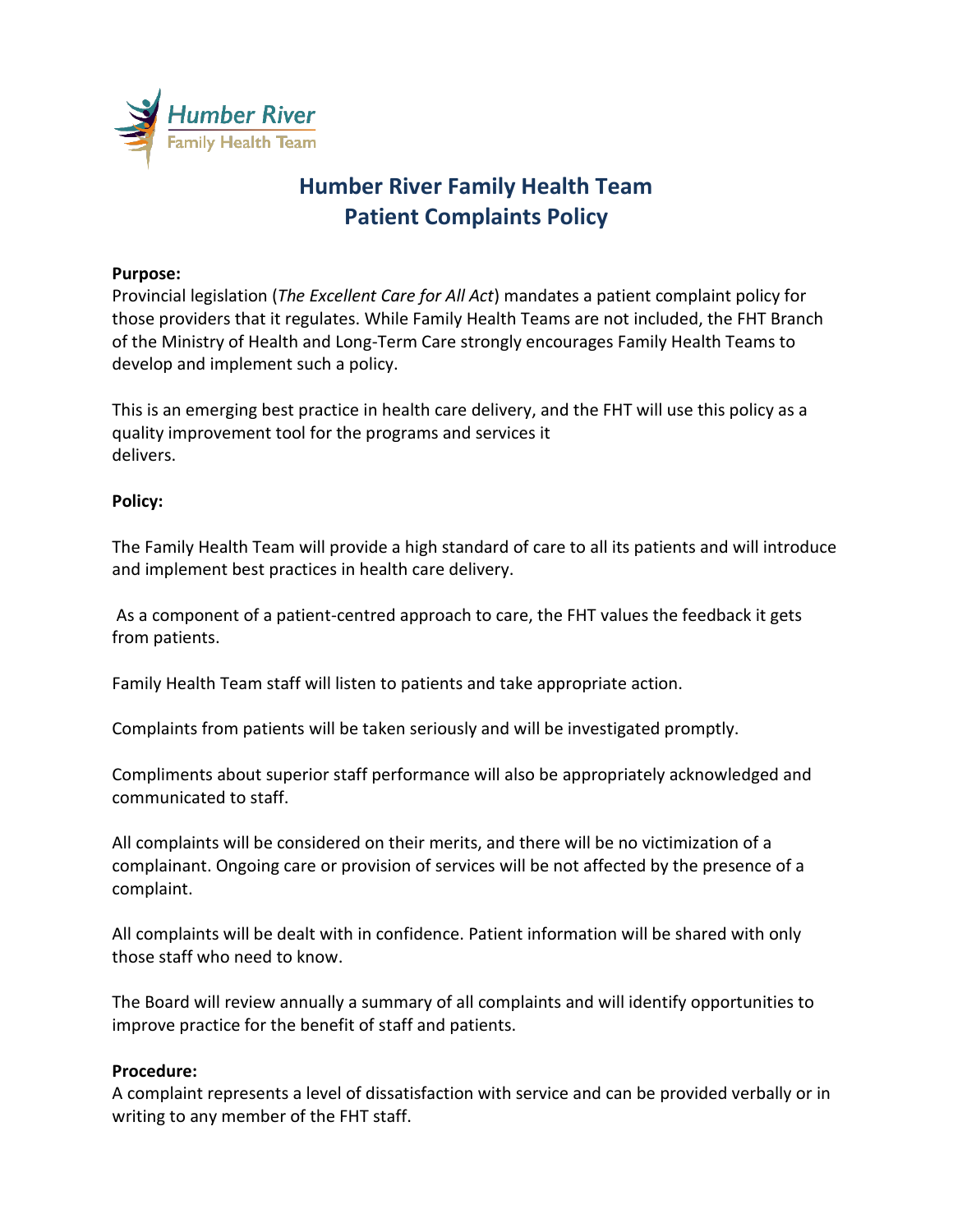

# **Humber River Family Health Team Patient Complaints Policy**

### **Purpose:**

Provincial legislation (*The Excellent Care for All Act*) mandates a patient complaint policy for those providers that it regulates. While Family Health Teams are not included, the FHT Branch of the Ministry of Health and Long-Term Care strongly encourages Family Health Teams to develop and implement such a policy.

This is an emerging best practice in health care delivery, and the FHT will use this policy as a quality improvement tool for the programs and services it delivers.

## **Policy:**

The Family Health Team will provide a high standard of care to all its patients and will introduce and implement best practices in health care delivery.

As a component of a patient-centred approach to care, the FHT values the feedback it gets from patients.

Family Health Team staff will listen to patients and take appropriate action.

Complaints from patients will be taken seriously and will be investigated promptly.

Compliments about superior staff performance will also be appropriately acknowledged and communicated to staff.

All complaints will be considered on their merits, and there will be no victimization of a complainant. Ongoing care or provision of services will be not affected by the presence of a complaint.

All complaints will be dealt with in confidence. Patient information will be shared with only those staff who need to know.

The Board will review annually a summary of all complaints and will identify opportunities to improve practice for the benefit of staff and patients.

#### **Procedure:**

A complaint represents a level of dissatisfaction with service and can be provided verbally or in writing to any member of the FHT staff.